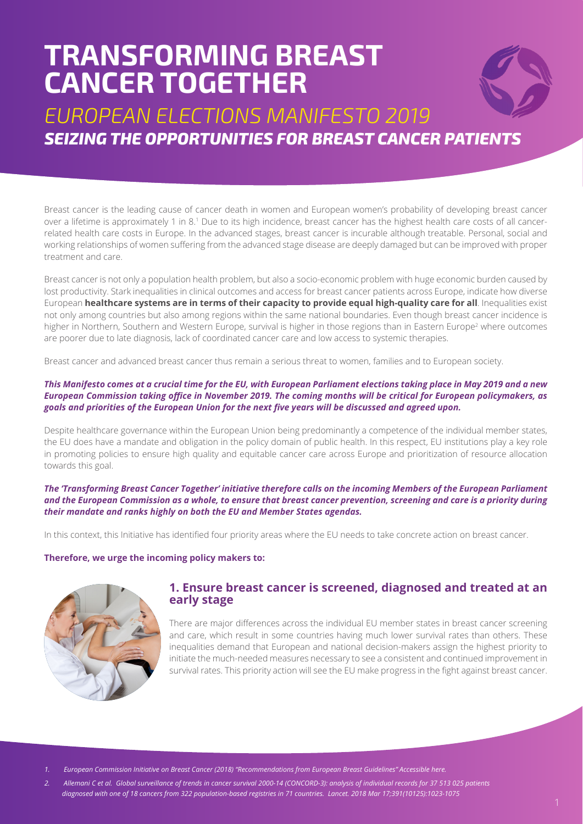# **TRANSFORMING BREAST CANCER TOGETHER**



*EUROPEAN ELECTIONS MANIFESTO 2019 SEIZING THE OPPORTUNITIES FOR BREAST CANCER PATIENTS*

Breast cancer is the leading cause of cancer death in women and European women's probability of developing breast cancer over a lifetime is approximately 1 in 8.<sup>1</sup> Due to its high incidence, breast cancer has the highest health care costs of all cancerrelated health care costs in Europe. In the advanced stages, breast cancer is incurable although treatable. Personal, social and working relationships of women suffering from the advanced stage disease are deeply damaged but can be improved with proper treatment and care.

Breast cancer is not only a population health problem, but also a socio-economic problem with huge economic burden caused by lost productivity. Stark inequalities in clinical outcomes and access for breast cancer patients across Europe, indicate how diverse European **healthcare systems are in terms of their capacity to provide equal high-quality care for all**. Inequalities exist not only among countries but also among regions within the same national boundaries. Even though breast cancer incidence is higher in Northern, Southern and Western Europe, survival is higher in those regions than in Eastern Europe<sup>2</sup> where outcomes are poorer due to late diagnosis, lack of coordinated cancer care and low access to systemic therapies.

Breast cancer and advanced breast cancer thus remain a serious threat to women, families and to European society.

#### *This Manifesto comes at a crucial time for the EU, with European Parliament elections taking place in May 2019 and a new European Commission taking office in November 2019. The coming months will be critical for European policymakers, as goals and priorities of the European Union for the next five years will be discussed and agreed upon.*

Despite healthcare governance within the European Union being predominantly a competence of the individual member states, the EU does have a mandate and obligation in the policy domain of public health. In this respect, EU institutions play a key role in promoting policies to ensure high quality and equitable cancer care across Europe and prioritization of resource allocation towards this goal.

#### *The 'Transforming Breast Cancer Together' initiative therefore calls on the incoming Members of the European Parliament and the European Commission as a whole, to ensure that breast cancer prevention, screening and care is a priority during their mandate and ranks highly on both the EU and Member States agendas.*

In this context, this Initiative has identified four priority areas where the EU needs to take concrete action on breast cancer.

#### **Therefore, we urge the incoming policy makers to:**



# **1. Ensure breast cancer is screened, diagnosed and treated at an early stage**

There are major differences across the individual EU member states in breast cancer screening and care, which result in some countries having much lower survival rates than others. These inequalities demand that European and national decision-makers assign the highest priority to initiate the much-needed measures necessary to see a consistent and continued improvement in survival rates. This priority action will see the EU make progress in the fight against breast cancer.

*1. European Commission Initiative on Breast Cancer (2018) "Recommendations from European Breast Guidelines" Accessible here.* 

*2. Allemani C et al. Global surveillance of trends in cancer survival 2000-14 (CONCORD-3): analysis of individual records for 37 513 025 patients diagnosed with one of 18 cancers from 322 population-based registries in 71 countries. Lancet. 2018 Mar 17;391(10125):1023-1075*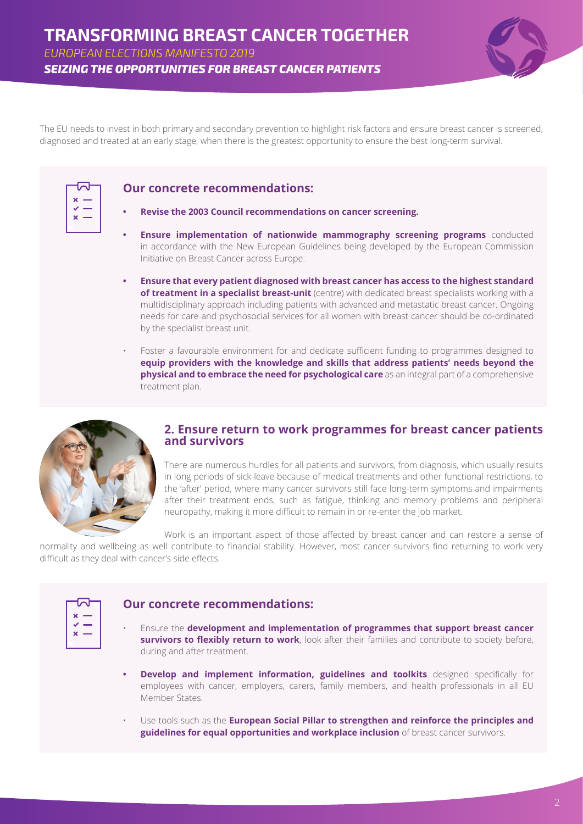*EUROPEAN ELECTIONS MANIFESTO 2019*

*SEIZING THE OPPORTUNITIES FOR BREAST CANCER PATIENTS*



The EU needs to invest in both primary and secondary prevention to highlight risk factors and ensure breast cancer is screened, diagnosed and treated at an early stage, when there is the greatest opportunity to ensure the best long-term survival.

### **Our concrete recommendations:**



#### **• Revise the 2003 Council recommendations on cancer screening.**

- **Ensure implementation of nationwide mammography screening programs** conducted in accordance with the New European Guidelines being developed by the European Commission Initiative on Breast Cancer across Europe.
- **• Ensure that every patient diagnosed with breast cancer has access to the highest standard of treatment in a specialist breast-unit** (centre) with dedicated breast specialists working with a multidisciplinary approach including patients with advanced and metastatic breast cancer. Ongoing needs for care and psychosocial services for all women with breast cancer should be co-ordinated by the specialist breast unit.
- Foster a favourable environment for and dedicate sufficient funding to programmes designed to **equip providers with the knowledge and skills that address patients' needs beyond the physical and to embrace the need for psychological care** as an integral part of a comprehensive treatment plan.



#### **2. Ensure return to work programmes for breast cancer patients and survivors**

There are numerous hurdles for all patients and survivors, from diagnosis, which usually results in long periods of sick-leave because of medical treatments and other functional restrictions, to the 'after' period, where many cancer survivors still face long-term symptoms and impairments after their treatment ends, such as fatigue, thinking and memory problems and peripheral neuropathy, making it more difficult to remain in or re-enter the job market.

Work is an important aspect of those affected by breast cancer and can restore a sense of normality and wellbeing as well contribute to financial stability. However, most cancer survivors find returning to work very difficult as they deal with cancer's side effects.

| $\overline{\phantom{a}}$ |  |
|--------------------------|--|
| ×                        |  |
|                          |  |
| ×                        |  |
|                          |  |

# **Our concrete recommendations:**

- Ensure the **development and implementation of programmes that support breast cancer survivors to flexibly return to work**, look after their families and contribute to society before, during and after treatment.
- **Develop and implement information, guidelines and toolkits** designed specifically for employees with cancer, employers, carers, family members, and health professionals in all EU Member States.
- Use tools such as the **European Social Pillar to strengthen and reinforce the principles and guidelines for equal opportunities and workplace inclusion** of breast cancer survivors.